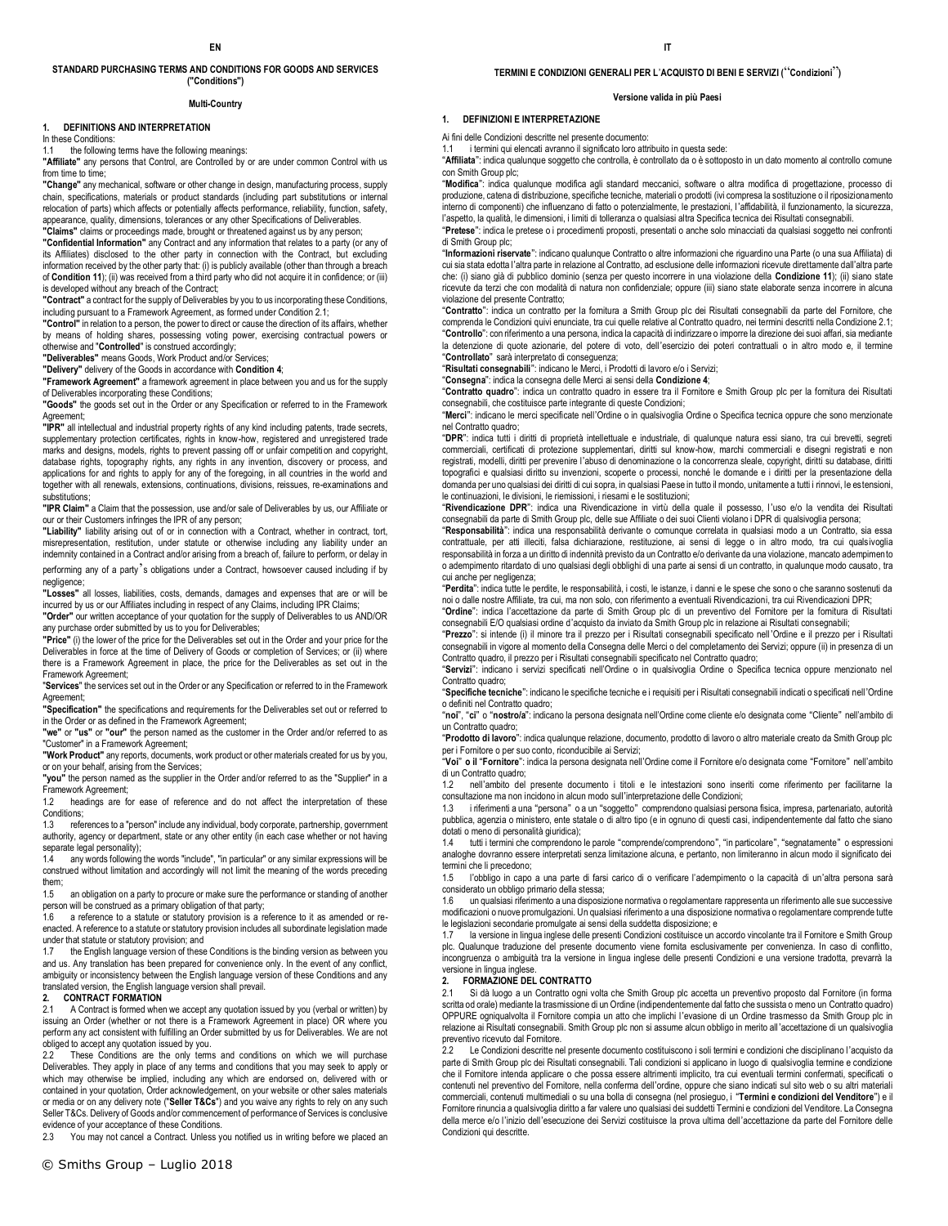#### **STANDARD PURCHASING TERMS AND CONDITIONS FOR GOODS AND SERVICES ("Conditions")**

#### **Multi-Country**

#### **1. DEFINITIONS AND INTERPRETATION**

In these Conditions:

the following terms have the following meanings:

**"Affiliate"** any persons that Control, are Controlled by or are under common Control with us from time to time;

**"Change"** any mechanical, software or other change in design, manufacturing process, supply chain, specifications, materials or product standards (including part substitutions or internal relocation of parts) which affects or potentially affects performance, reliability, function, safety, appearance, quality, dimensions, tolerances or any other Specifications of Deliverables.

**"Claims"** claims or proceedings made, brought or threatened against us by any person; **"Confidential Information"** any Contract and any information that relates to a party (or any of

its Affiliates) disclosed to the other party in connection with the Contract, but excluding information received by the other party that: (i) is publicly available (other than through a breach of **Condition 11**); (ii) was received from a third party who did not acquire it in confidence; or (iii) is developed without any breach of the Contract;

**"Contract"** a contract for the supply of Deliverables by you to us incorporating these Conditions, including pursuant to a Framework Agreement, as formed under Condition 2.1;

**"Control"** in relation to a person, the power to direct or cause the direction of its affairs, whether by means of holding shares, possessing voting power, exercising contractual powers or otherwise and "**Controlled**" is construed accordingly;

**"Deliverables"** means Goods, Work Product and/or Services;

**"Delivery"** delivery of the Goods in accordance with **Condition 4**;

**"Framework Agreement"** a framework agreement in place between you and us for the supply of Deliverables incorporating these Conditions;

**"Goods"** the goods set out in the Order or any Specification or referred to in the Framework Agreement;

**"IPR"** all intellectual and industrial property rights of any kind including patents, trade secrets, supplementary protection certificates, rights in know-how, registered and unregistered trade marks and designs, models, rights to prevent passing off or unfair competition and copyright, database rights, topography rights, any rights in any invention, discovery or process, and applications for and rights to apply for any of the foregoing, in all countries in the world and together with all renewals, extensions, continuations, divisions, reissues, re-examinations and substitutions;

**"IPR Claim"** a Claim that the possession, use and/or sale of Deliverables by us, our Affiliate or our or their Customers infringes the IPR of any person;

**"Liability"** liability arising out of or in connection with a Contract, whether in contract, tort, misrepresentation, restitution, under statute or otherwise including any liability under an indemnity contained in a Contract and/or arising from a breach of, failure to perform, or delay in

performing any of a party's obligations under a Contract, howsoever caused including if by negligence;

**"Losses"** all losses, liabilities, costs, demands, damages and expenses that are or will be incurred by us or our Affiliates including in respect of any Claims, including IPR Claims;

**"Order"** our written acceptance of your quotation for the supply of Deliverables to us AND/OR any purchase order submitted by us to you for Deliverables;

**"Price"** (i) the lower of the price for the Deliverables set out in the Order and your price for the Deliverables in force at the time of Delivery of Goods or completion of Services; or (ii) where there is a Framework Agreement in place, the price for the Deliverables as set out in the Framework Agreement;

"**Services**" the services set out in the Order or any Specification or referred to in the Framework Agreement;

**"Specification"** the specifications and requirements for the Deliverables set out or referred to in the Order or as defined in the Framework Agreement;

**"we"** or **"us"** or **"our"** the person named as the customer in the Order and/or referred to as "Customer" in a Framework Agreement;

**"Work Product"** any reports, documents, work product or other materials created for us by you, or on your behalf, arising from the Services;

**"you"** the person named as the supplier in the Order and/or referred to as the "Supplier" in a Framework Agreement;

1.2 headings are for ease of reference and do not affect the interpretation of these

Conditions;<br>1.3 refer references to a "person" include any individual, body corporate, partnership, government authority, agency or department, state or any other entity (in each case whether or not having separate legal personality);

1.4 any words following the words "include", "in particular" or any similar expressions will be construed without limitation and accordingly will not limit the meaning of the words preceding them;

1.5 an obligation on a party to procure or make sure the performance or standing of another person will be construed as a primary obligation of that party;

1.6 a reference to a statute or statutory provision is a reference to it as amended or reenacted. A reference to a statute or statutory provision includes all subordinate legislation made under that statute or statutory provision; and<br>1.7 the English language version of these

the English language version of these Conditions is the binding version as between you and us. Any translation has been prepared for convenience only. In the event of any conflict, ambiguity or inconsistency between the English language version of these Conditions and any translated version, the English language version shall prevail.

### **2. CONTRACT FORMATION**

2.1 A Contract is formed when we accept any quotation issued by you (verbal or written) by issuing an Order (whether or not there is a Framework Agreement in place) OR where you perform any act consistent with fulfilling an Order submitted by us for Deliverables. We are not obliged to accept any quotation issued by you.

2.2 These Conditions are the only terms and conditions on which we will purchase Deliverables. They apply in place of any terms and conditions that you may seek to apply or which may otherwise be implied, including any which are endorsed on, delivered with or contained in your quotation, Order acknowledgement, on your website or other sales materials or media or on any delivery note ("**Seller T&Cs**") and you waive any rights to rely on any such Seller T&Cs. Delivery of Goods and/or commencement of performance of Services is conclusive evidence of your acceptance of these Conditions.

2.3 You may not cancel a Contract. Unless you notified us in writing before we placed an

#### **TERMINI E CONDIZIONI GENERALI PER L**'**ACQUISTO DI BENI E SERVIZI (**"**Condizioni**"**)**

#### **Versione valida in più Paesi**

### **1. DEFINIZIONI E INTERPRETAZIONE**

Ai fini delle Condizioni descritte nel presente documento:

1.1 i termini qui elencati avranno il significato loro attribuito in questa sede: "**Affiliata**": indica qualunque soggetto che controlla, è controllato da o è sottoposto in un dato momento al controllo comune con Smith Group plc;

"**Modifica**": indica qualunque modifica agli standard meccanici, software o altra modifica di progettazione, processo di produzione, catena di distribuzione, specifiche tecniche, materiali o prodotti (ivi compresa la sostituzione o il riposizionamento interno di componenti) che influenzano di fatto o potenzialmente, le prestazioni, l'affidabilità, il funzionamento, la sicurezza, l'aspetto, la qualità, le dimensioni, i limiti di tolleranza o qualsiasi altra Specifica tecnica dei Risultati consegnabili.

"**Pretese**": indica le pretese o i procedimenti proposti, presentati o anche solo minacciati da qualsiasi soggetto nei confronti di Smith Group plc;

"**Informazioni riservate**": indicano qualunque Contratto o altre informazioni che riguardino una Parte (o una sua Affiliata) di cui sia stata edotta l'altra parte in relazione al Contratto, ad esclusione delle informazioni ricevute direttamente dall'altra parte che: (i) siano già di pubblico dominio (senza per questo incorrere in una violazione della **Condizione 11**); (ii) siano state ricevute da terzi che con modalità di natura non confidenziale; oppure (iii) siano state elaborate senza incorrere in alcuna violazione del presente Contratto;

"**Contratto**": indica un contratto per la fornitura a Smith Group plc dei Risultati consegnabili da parte del Fornitore, che comprenda le Condizioni quivi enunciate, tra cui quelle relative al Contratto quadro, nei termini descritti nella Condizione 2.1; "**Controllo**": con riferimento a una persona, indica la capacità di indirizzare o imporre la direzione dei suoi affari, sia mediante la detenzione di quote azionarie, del potere di voto, dell'esercizio dei poteri contrattuali o in altro modo e, il termine "**Controllato**" sarà interpretato di conseguenza;

"**Risultati consegnabili**": indicano le Merci, i Prodotti di lavoro e/o i Servizi;

"**Consegna**": indica la consegna delle Merci ai sensi della **Condizione 4**;

"**Contratto quadro**": indica un contratto quadro in essere tra il Fornitore e Smith Group plc per la fornitura dei Risultati consegnabili, che costituisce parte integrante di queste Condizioni;

"**Merci**": indicano le merci specificate nell'Ordine o in qualsivoglia Ordine o Specifica tecnica oppure che sono menzionate nel Contratto quadro;

"**DPR**": indica tutti i diritti di proprietà intellettuale e industriale, di qualunque natura essi siano, tra cui brevetti, segreti commerciali, certificati di protezione supplementari, diritti sul know-how, marchi commerciali e disegni registrati e non registrati, modelli, diritti per prevenire l'abuso di denominazione o la concorrenza sleale, copyright, diritti su database, diritti topografici e qualsiasi diritto su invenzioni, scoperte o processi, nonché le domande e i diritti per la presentazione della domanda per uno qualsiasi dei diritti di cui sopra, in qualsiasi Paese in tutto il mondo, unitamente a tutti i rinnovi, le estensioni, le continuazioni, le divisioni, le riemissioni, i riesami e le sostituzioni;

"**Rivendicazione DPR**": indica una Rivendicazione in virtù della quale il possesso, l'uso e/o la vendita dei Risultati consegnabili da parte di Smith Group plc, delle sue Affiliate o dei suoi Clienti violano i DPR di qualsivoglia persona;

"**Responsabilità**": indica una responsabilità derivante o comunque correlata in qualsiasi modo a un Contratto, sia essa contrattuale, per atti illeciti, falsa dichiarazione, restituzione, ai sensi di legge o in altro modo, tra cui qualsivoglia responsabilità in forza a un diritto di indennità previsto da un Contratto e/o derivante da una violazione, mancato adempimento o adempimento ritardato di uno qualsiasi degli obblighi di una parte ai sensi di un contratto, in qualunque modo causato, tra cui anche per negligenza;

"**Perdita**": indica tutte le perdite, le responsabilità, i costi, le istanze, i danni e le spese che sono o che saranno sostenuti da noi o dalle nostre Affiliate, tra cui, ma non solo, con riferimento a eventuali Rivendicazioni, tra cui Rivendicazioni DPR;

"**Ordine**": indica l'accettazione da parte di Smith Group plc di un preventivo del Fornitore per la fornitura di Risultati consegnabili E/O qualsiasi ordine d'acquisto da inviato da Smith Group plc in relazione ai Risultati consegnabili;

"**Prezzo**": si intende (i) il minore tra il prezzo per i Risultati consegnabili specificato nell 'Ordine e il prezzo per i Risultati consegnabili in vigore al momento della Consegna delle Merci o del completamento dei Servizi; oppure (ii) in presenza di un Contratto quadro, il prezzo per i Risultati consegnabili specificato nel Contratto quadro;

"**Servizi**": indicano i servizi specificati nell'Ordine o in qualsivoglia Ordine o Specifica tecnica oppure menzionato nel Contratto quadro;

"**Specifiche tecniche**": indicano le specifiche tecniche e i requisiti per i Risultati consegnabili indicati o specificati nell'Ordine o definiti nel Contratto quadro;

"**noi**", "**ci**" o "**nostro/a**": indicano la persona designata nell'Ordine come cliente e/o designata come "Cliente" nell'ambito di un Contratto quadro;

"**Prodotto di lavoro**": indica qualunque relazione, documento, prodotto di lavoro o altro materiale creato da Smith Group plc per i Fornitore o per suo conto, riconducibile ai Servizi; "**Voi**" **o il** "**Fornitore**": indica la persona designata nell'Ordine come il Fornitore e/o designata come "Fornitore" nell'ambito

di un Contratto quadro;<br>1.2 nell'ambito del 1.2 nell'ambito del presente documento i titoli e le intestazioni sono inseriti come riferimento per facilitarne la

consultazione ma non incidono in alcun modo sull'interpretazione delle Condizioni;

1.3 i riferimenti a una "persona" o a un "soggetto" comprendono qualsiasi persona fisica, impresa, partenariato, autorità pubblica, agenzia o ministero, ente statale o di altro tipo (e in ognuno di questi casi, indipendentemente dal fatto che siano dotati o meno di personalità giuridica);<br>14 tutti i termini che comprendono

1.4 tutti i termini che comprendono le parole "comprende/comprendono", "in particolare", "segnatamente" o espressioni analoghe dovranno essere interpretati senza limitazione alcuna, e pertanto, non limiteranno in alcun modo il significato dei termini che li precedono;

1.5 l'obbligo in capo a una parte di farsi carico di o verificare l'adempimento o la capacità di un'altra persona sarà considerato un obbligo primario della stessa;

1.6 un qualsiasi riferimento a una disposizione normativa o regolamentare rappresenta un riferimento alle sue successive modificazioni o nuove promulgazioni. Un qualsiasi riferimento a una disposizione normativa o regolamentare comprende tutte le legislazioni secondarie promulgate ai sensi della suddetta disposizione; e

la versione in lingua inglese delle presenti Condizioni costituisce un accordo vincolante tra il Fornitore e Smith Group plc. Qualunque traduzione del presente documento viene fornita esclusivamente per convenienza. In caso di conflitto, incongruenza o ambiguità tra la versione in lingua inglese delle presenti Condizioni e una versione tradotta, prevarrà la versione in lingua inglese.

#### **2. FORMAZIONE DEL CONTRATTO**

2.1 Si dà luogo a un Contratto ogni volta che Smith Group plc accetta un preventivo proposto dal Fornitore (in forma scritta od orale) mediante la trasmissione di un Ordine (indipendentemente dal fatto che sussista o meno un Contratto quadro) OPPURE ogniqualvolta il Fornitore compia un atto che implichi l'evasione di un Ordine trasmesso da Smith Group plc in relazione ai Risultati consegnabili. Smith Group plc non si assume alcun obbligo in merito all'accettazione di un qualsivoglia preventivo ricevuto dal Fornitore.

Le Condizioni descritte nel presente documento costituiscono i soli termini e condizioni che disciplinano l'acquisto da parte di Smith Group plc dei Risultati consegnabili. Tali condizioni si applicano in luogo di qualsivoglia termine e condizione che il Fornitore intenda applicare o che possa essere altrimenti implicito, tra cui eventuali termini confermati, specificati o contenuti nel preventivo del Fornitore, nella conferma dell'ordine, oppure che siano indicati sul sito web o su altri materiali commerciali, contenuti multimediali o su una bolla di consegna (nel prosieguo, i "**Termini e condizioni del Venditore**") e il Fornitore rinuncia a qualsivoglia diritto a far valere uno qualsiasi dei suddetti Termini e condizioni del Venditore. La Consegna della merce e/o l'inizio dell'esecuzione dei Servizi costituisce la prova ultima dell'accettazione da parte del Fornitore delle Condizioni qui descritte.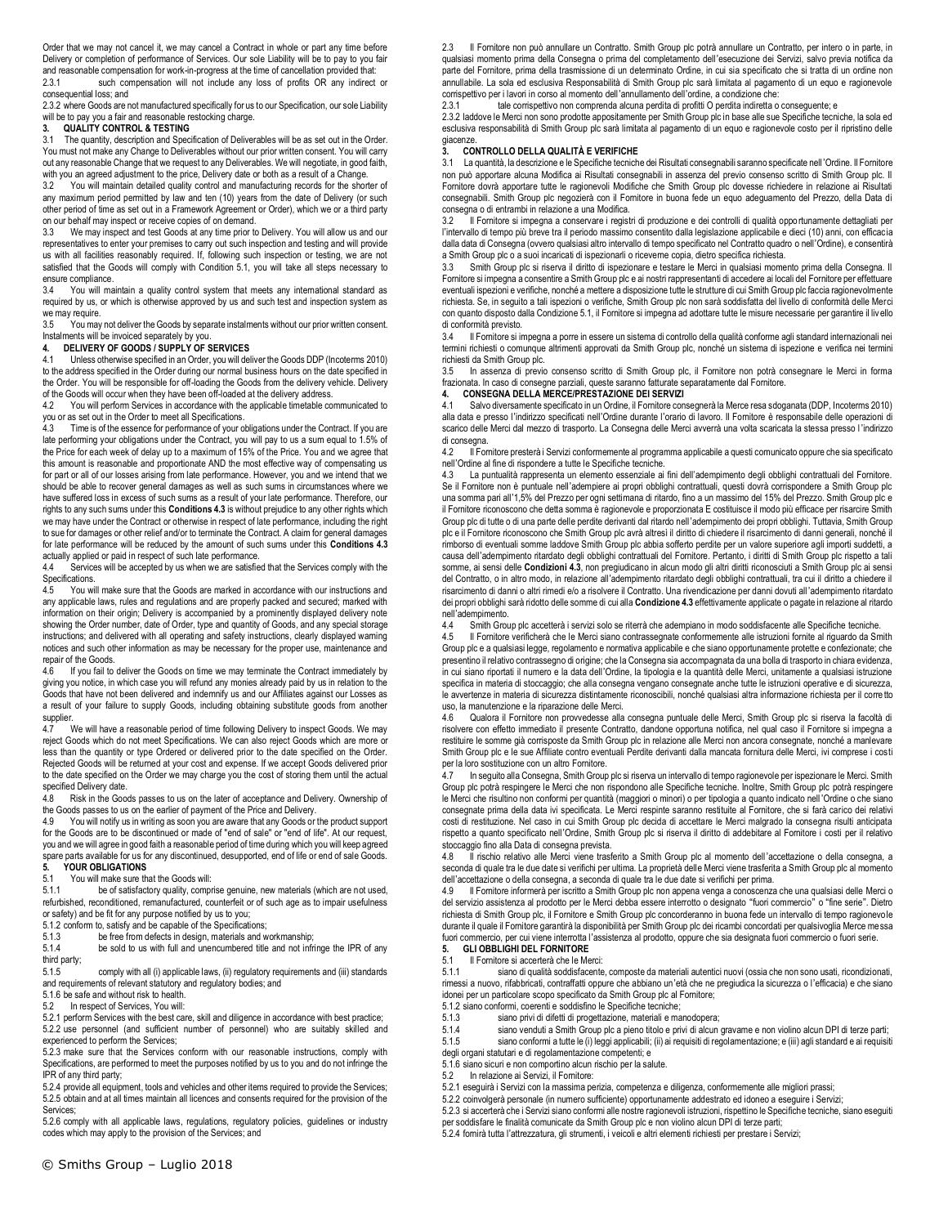Order that we may not cancel it, we may cancel a Contract in whole or part any time before Delivery or completion of performance of Services. Our sole Liability will be to pay to you fair and reasonable compensation for work-in-progress at the time of cancellation provided that:<br>2.3.1 such compensation will not include any loss of profits OR any indirect such compensation will not include any loss of profits OR any indirect or consequential loss; and

2.3.2 where Goods are not manufactured specifically for us to our Specification, our sole Liability will be to pay you a fair and reasonable restocking charge.

#### **3. QUALITY CONTROL & TESTING**

3.1 The quantity, description and Specification of Deliverables will be as set out in the Order. You must not make any Change to Deliverables without our prior written consent. You will carry out any reasonable Change that we request to any Deliverables. We will negotiate, in good faith, with you an agreed adjustment to the price, Delivery date or both as a result of a Change.

3.2 You will maintain detailed quality control and manufacturing records for the shorter of any maximum period permitted by law and ten (10) years from the date of Delivery (or such other period of time as set out in a Framework Agreement or Order), which we or a third party on our behalf may inspect or receive copies of on demand.

3.3 We may inspect and test Goods at any time prior to Delivery. You will allow us and our representatives to enter your premises to carry out such inspection and testing and will provide us with all facilities reasonably required. If, following such inspection or testing, we are not satisfied that the Goods will comply with Condition 5.1, you will take all steps necessary to ensure compliance.

You will maintain a quality control system that meets any international standard as required by us, or which is otherwise approved by us and such test and inspection system as we may require.

3.5 You may not deliver the Goods by separate instalments without our prior written consent. Instalments will be invoiced separately by you. **4. DELIVERY OF GOODS / SUPPLY OF SERVICES**

4.1 Unless otherwise specified in an Order, you will deliver the Goods DDP (Incoterms 2010) to the address specified in the Order during our normal business hours on the date specified in the Order. You will be responsible for off-loading the Goods from the delivery vehicle. Delivery of the Goods will occur when they have been off-loaded at the delivery address.

4.2 You will perform Services in accordance with the applicable timetable communicated to you or as set out in the Order to meet all Specifications.<br>4.3 Time is of the essence for performance of your o

Time is of the essence for performance of your obligations under the Contract. If you are late performing your obligations under the Contract, you will pay to us a sum equal to 1.5% of the Price for each week of delay up to a maximum of 15% of the Price. You and we agree that this amount is reasonable and proportionate AND the most effective way of compensating us for part or all of our losses arising from late performance. However, you and we intend that we should be able to recover general damages as well as such sums in circumstances where we have suffered loss in excess of such sums as a result of your late performance. Therefore, our rights to any such sums under this **Conditions 4.3** is without prejudice to any other rights which we may have under the Contract or otherwise in respect of late performance, including the right to sue for damages or other relief and/or to terminate the Contract. A claim for general damages for late performance will be reduced by the amount of such sums under this **Conditions 4.3** 

actually applied or paid in respect of such late performance.<br>4.4 Services will be accepted by us when we are satisfie Services will be accepted by us when we are satisfied that the Services comply with the Specifications.

4.5 You will make sure that the Goods are marked in accordance with our instructions and any applicable laws, rules and regulations and are properly packed and secured; marked with information on their origin; Delivery is accompanied by a prominently displayed delivery note showing the Order number, date of Order, type and quantity of Goods, and any special storage instructions; and delivered with all operating and safety instructions, clearly displayed warning notices and such other information as may be necessary for the proper use, maintenance and repair of the Goods.<br>4.6 If you fail to

If you fail to deliver the Goods on time we may terminate the Contract immediately by giving you notice, in which case you will refund any monies already paid by us in relation to the Goods that have not been delivered and indemnify us and our Affiliates against our Losses as a result of your failure to supply Goods, including obtaining substitute goods from another supplier.<br>4.7

We will have a reasonable period of time following Delivery to inspect Goods. We may reject Goods which do not meet Specifications. We can also reject Goods which are more or less than the quantity or type Ordered or delivered prior to the date specified on the Order. Rejected Goods will be returned at your cost and expense. If we accept Goods delivered prior to the date specified on the Order we may charge you the cost of storing them until the actual specified Delivery date.

4.8 Risk in the Goods passes to us on the later of acceptance and Delivery. Ownership of the Goods passes to us on the earlier of payment of the Price and Delivery.

4.9 You will notify us in writing as soon you are aware that any Goods or the product support for the Goods are to be discontinued or made of "end of sale" or "end of life". At our request, you and we will agree in good faith a reasonable period of time during which you will keep agreed spare parts available for us for any discontinued, desupported, end of life or end of sale Goods. **5. YOUR OBLIGATIONS**<br>5.1 You will make sure the

5.1 You will make sure that the Goods will:<br>5.1.1 be of satisfactory quality, comp

be of satisfactory quality, comprise genuine, new materials (which are not used, refurbished, reconditioned, remanufactured, counterfeit or of such age as to impair usefulness or safety) and be fit for any purpose notified by us to you;

5.1.2 conform to, satisfy and be capable of the Specifications;<br>5.1.3 be free from defects in design, materials and w

5.1.3 be free from defects in design, materials and workmanship;<br>5.1.4 be sold to us with full and unencumbered title and not infr

be sold to us with full and unencumbered title and not infringe the IPR of any third party;

5.1.5 comply with all (i) applicable laws, (ii) regulatory requirements and (iii) standards and requirements of relevant statutory and regulatory bodies; and

5.1.6 be safe and without risk to health.

5.2 In respect of Services, You will:

5.2.1 perform Services with the best care, skill and diligence in accordance with best practice; 5.2.2 use personnel (and sufficient number of personnel) who are suitably skilled and experienced to perform the Services;

5.2.3 make sure that the Services conform with our reasonable instructions, comply with Specifications, are performed to meet the purposes notified by us to you and do not infringe the IPR of any third party;

5.2.4 provide all equipment, tools and vehicles and other items required to provide the Services; 5.2.5 obtain and at all times maintain all licences and consents required for the provision of the Services;

5.2.6 comply with all applicable laws, regulations, regulatory policies, guidelines or industry codes which may apply to the provision of the Services; and

2.3 Il Fornitore non può annullare un Contratto. Smith Group plc potrà annullare un Contratto, per intero o in parte, in qualsiasi momento prima della Consegna o prima del completamento dell'esecuzione dei Servizi, salvo previa notifica da parte del Fornitore, prima della trasmissione di un determinato Ordine, in cui sia specificato che si tratta di un ordine non annullabile. La sola ed esclusiva Responsabilità di Smith Group plc sarà limitata al pagamento di un equo e ragionevole corrispettivo per i lavori in corso al momento dell'annullamento dell'ordine, a condizione che:

2.3.1 tale corrispettivo non comprenda alcuna perdita di profitti O perdita indiretta o conseguente; e

2.3.2 laddove le Merci non sono prodotte appositamente per Smith Group plc in base alle sue Specifiche tecniche, la sola ed esclusiva responsabilità di Smith Group plc sarà limitata al pagamento di un equo e ragionevole costo per il ripristino delle giacenze.<br>3. CO

# **3. CONTROLLO DELLA QUALITÀ E VERIFICHE**<br>3.1 La quantità, la descrizione e le Specifiche tecniche

La quantità, la descrizione e le Specifiche tecniche dei Risultati consegnabili saranno specificate nell 'Ordine. Il Fornitore non può apportare alcuna Modifica ai Risultati consegnabili in assenza del previo consenso scritto di Smith Group plc. Il Fornitore dovrà apportare tutte le ragionevoli Modifiche che Smith Group plc dovesse richiedere in relazione ai Risultati consegnabili. Smith Group plc negozierà con il Fornitore in buona fede un equo adeguamento del Prezzo, della Data di consegna o di entrambi in relazione a una Modifica.

Il Fornitore si impegna a conservare i registri di produzione e dei controlli di qualità opportunamente dettagliati per l'intervallo di tempo più breve tra il periodo massimo consentito dalla legislazione applicabile e dieci (10) anni, con efficacia dalla data di Consegna (ovvero qualsiasi altro intervallo di tempo specificato nel Contratto quadro o nell'Ordine), e consentirà a Smith Group plc o a suoi incaricati di ispezionarli o riceverne copia, dietro specifica richiesta.

3.3 Smith Group plc si riserva il diritto di ispezionare e testare le Merci in qualsiasi momento prima della Consegna. Il Fornitore si impegna a consentire a Smith Group plc e ai nostri rappresentanti di accedere ai locali del Fornitore per effettuare eventuali ispezioni e verifiche, nonché a mettere a disposizione tutte le strutture di cui Smith Group plc faccia ragionevolmente richiesta. Se, in seguito a tali ispezioni o verifiche, Smith Group plc non sarà soddisfatta del livello di conformità delle Merci con quanto disposto dalla Condizione 5.1, il Fornitore si impegna ad adottare tutte le misure necessarie per garantire il liv ello di conformità previsto.

3.4 Il Fornitore si impegna a porre in essere un sistema di controllo della qualità conforme agli standard internazionali nei termini richiesti o comunque altrimenti approvati da Smith Group plc, nonché un sistema di ispezione e verifica nei termini richiesti da Smith Group plc.

3.5 In assenza di previo consenso scritto di Smith Group plc, il Fornitore non potrà consegnare le Merci in forma frazionata. In caso di consegne parziali, queste saranno fatturate separatamente dal Fornitore. **4. CONSEGNA DELLA MERCE/PRESTAZIONE DEI SERVIZI**

4.1 Salvo diversamente specificato in un Ordine, il Fornitore consegnerà la Merce resa sdoganata (DDP, Incoterms 2010)

alla data e presso l'indirizzo specificati nell'Ordine durante l'orario di lavoro. Il Fornitore è responsabile delle operazioni di scarico delle Merci dal mezzo di trasporto. La Consegna delle Merci avverrà una volta scaricata la stessa presso l 'indirizzo di consegna.<br>42 Il Fo

4.2 Il Fornitore presterà i Servizi conformemente al programma applicabile a questi comunicato oppure che sia specificato nell'Ordine al fine di rispondere a tutte le Specifiche tecniche.<br>4.3 La puntualità rappresenta un elemento essenziale ai

4.3 La puntualità rappresenta un elemento essenziale ai fini dell'adempimento degli obblighi contrattuali del Fornitore. Se il Fornitore non è puntuale nell'adempiere ai propri obblighi contrattuali, questi dovrà corrispondere a Smith Group plc una somma pari all'1,5% del Prezzo per ogni settimana di ritardo, fino a un massimo del 15% del Prezzo. Smith Group plc e il Fornitore riconoscono che detta somma è ragionevole e proporzionata E costituisce il modo più efficace per risarcire Smith Group plc di tutte o di una parte delle perdite derivanti dal ritardo nell'adempimento dei propri obblighi. Tuttavia, Smith Group plc e il Fornitore riconoscono che Smith Group plc avrà altresì il diritto di chiedere il risarcimento di danni generali, nonché il rimborso di eventuali somme laddove Smith Group plc abbia sofferto perdite per un valore superiore agli importi suddetti, a causa dell'adempimento ritardato degli obblighi contrattuali del Fornitore. Pertanto, i diritti di Smith Group plc rispetto a tali somme, ai sensi delle **Condizioni 4.3**, non pregiudicano in alcun modo gli altri diritti riconosciuti a Smith Group plc ai sensi del Contratto, o in altro modo, in relazione all'adempimento ritardato degli obblighi contrattuali, tra cui il diritto a chiedere il risarcimento di danni o altri rimedi e/o a risolvere il Contratto. Una rivendicazione per danni dovuti all 'adempimento ritardato dei propri obblighi sarà ridotto delle somme di cui alla **Condizione 4.3** effettivamente applicate o pagate in relazione al ritardo nell'adempimento.

4.4 Smith Group plc accetterà i servizi solo se riterrà che adempiano in modo soddisfacente alle Specifiche tecniche.

Il Fornitore verificherà che le Merci siano contrassegnate conformemente alle istruzioni fornite al riguardo da Smith Group plc e a qualsiasi legge, regolamento e normativa applicabile e che siano opportunamente protette e confezionate; che presentino il relativo contrassegno di origine; che la Consegna sia accompagnata da una bolla di trasporto in chiara evidenza, in cui siano riportati il numero e la data dell'Ordine, la tipologia e la quantità delle Merci, unitamente a qualsiasi istruzione specifica in materia di stoccaggio; che alla consegna vengano consegnate anche tutte le istruzioni operative e di sicurezza,<br>le avvertenze in materia di sicurezza distintamente riconoscibili, nonché qualsiasi altra informa uso, la manutenzione e la riparazione delle Merci.

4.6 Qualora il Fornitore non provvedesse alla consegna puntuale delle Merci, Smith Group plc si riserva la facoltà di risolvere con effetto immediato il presente Contratto, dandone opportuna notifica, nel qual caso il Fornitore si impegna a restituire le somme già corrisposte da Smith Group plc in relazione alle Merci non ancora consegnate, nonché a manlevare Smith Group plc e le sue Affiliate contro eventuali Perdite derivanti dalla mancata fornitura delle Merci, ivi comprese i costi per la loro sostituzione con un altro Fornitore.

.<br>4.7 In seguito alla Consegna, Smith Group plc si riserva un intervallo di tempo ragionevole per ispezionare le Merci. Smith Group plc potrà respingere le Merci che non rispondono alle Specifiche tecniche. Inoltre, Smith Group plc potrà respingere le Merci che risultino non conformi per quantità (maggiori o minori) o per tipologia a quanto indicato nell 'Ordine o che siano consegnate prima della data ivi specificata. Le Merci respinte saranno restituite al Fornitore, che si farà carico dei relativi costi di restituzione. Nel caso in cui Smith Group plc decida di accettare le Merci malgrado la consegna risulti anticipata rispetto a quanto specificato nell'Ordine, Smith Group plc si riserva il diritto di addebitare al Fornitore i costi per il relativo stoccaggio fino alla Data di consegna prevista.

4.8 Il rischio relativo alle Merci viene trasferito a Smith Group plc al momento dell'accettazione o della consegna, a seconda di quale tra le due date si verifichi per ultima. La proprietà delle Merci viene trasferita a Smith Group plc al momento dell'accettazione o della consegna, a seconda di quale tra le due date si verifichi per prima.<br>4.9 il Fornitore informerà per iscritto a Smith Group plc non appena venga a conoscenza

Il Fornitore informerà per iscritto a Smith Group plc non appena venga a conoscenza che una qualsiasi delle Merci o del servizio assistenza al prodotto per le Merci debba essere interrotto o designato "fuori commercio" o "fine serie". Dietro richiesta di Smith Group plc, il Fornitore e Smith Group plc concorderanno in buona fede un intervallo di tempo ragionevole durante il quale il Fornitore garantirà la disponibilità per Smith Group plc dei ricambi concordati per qualsivoglia Merce messa fuori commercio, per cui viene interrotta l'assistenza al prodotto, oppure che sia designata fuori commercio o fuori serie.

### **5. GLI OBBLIGHI DEL FORNITORE**<br>5.1 Il Fornitore si accerterà che le Me

5.1 Il Fornitore si accerterà che le Merci:<br>5.1.1 siano di qualità soddisfacente siano di qualità soddisfacente, composte da materiali autentici nuovi (ossia che non sono usati, ricondizionati, rimessi a nuovo, rifabbricati, contraffatti oppure che abbiano un'età che ne pregiudica la sicurezza o l'efficacia) e che siano idonei per un particolare scopo specificato da Smith Group plc al Fornitore;

5.1.2 siano conformi, coerenti e soddisfino le Specifiche tecniche;<br>5.1.3 siano privi di difetti di progettazione, materiali e ma

5.1.3 siano privi di difetti di progettazione, materiali e manodopera;

siano venduti a Smith Group plc a pieno titolo e privi di alcun gravame e non violino alcun DPI di terze parti; 5.1.5 siano conformi a tutte le (i) leggi applicabili; (ii) ai requisiti di regolamentazione; e (iii) agli standard e ai requisiti degli organi statutari e di regolamentazione competenti; e

5.1.6 siano sicuri e non comportino alcun rischio per la salute.

5.2 In relazione ai Servizi, il Fornitore:

5.2.1 eseguirà i Servizi con la massima perizia, competenza e diligenza, conformemente alle migliori prassi;

5.2.2 coinvolgerà personale (in numero sufficiente) opportunamente addestrato ed idoneo a eseguire i Servizi;

5.2.3 si accerterà che i Servizi siano conformi alle nostre ragionevoli istruzioni, rispettino le Specifiche tecniche, siano eseguiti per soddisfare le finalità comunicate da Smith Group plc e non violino alcun DPI di terze parti;

5.2.4 fornirà tutta l'attrezzatura, gli strumenti, i veicoli e altri elementi richiesti per prestare i Servizi;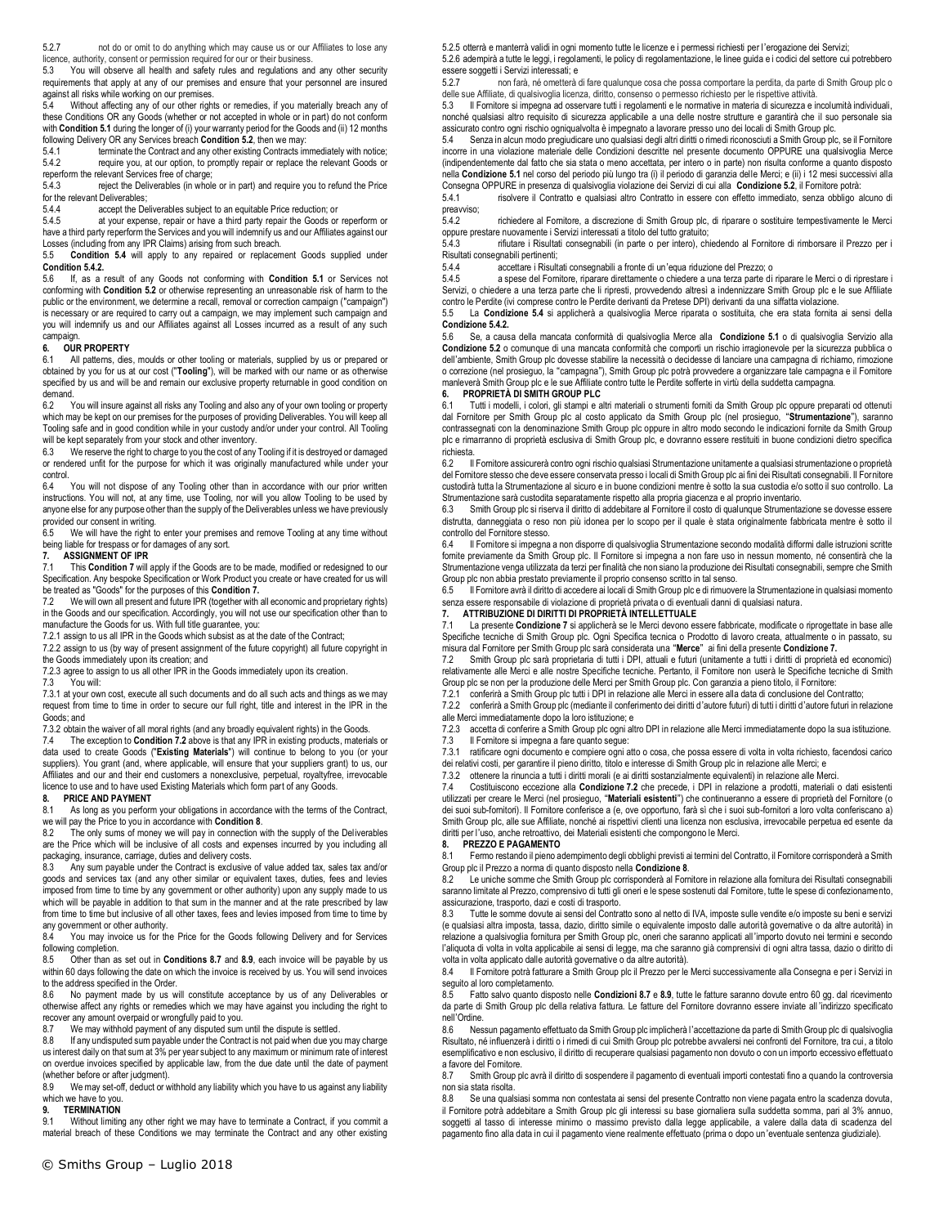5.2.7 not do or omit to do anything which may cause us or our Affiliates to lose any

licence, authority, consent or permission required for our or their business. 5.3 You will observe all health and safety rules and regulations and any other security requirements that apply at any of our premises and ensure that your personnel are insured against all risks while working on our premises.

5.4 Without affecting any of our other rights or remedies, if you materially breach any of these Conditions OR any Goods (whether or not accepted in whole or in part) do not conform with **Condition 5.1** during the longer of (i) your warranty period for the Goods and (ii) 12 months following Delivery OR any Services breach **Condition 5.2**, then we may:<br>5.4.1 terminate the Contract and any other existing Contracts in

5.4.1 terminate the Contract and any other existing Contracts immediately with notice;<br>5.4.2 require you, at our option, to promptly repair or replace the relevant Goods or require you, at our option, to promptly repair or replace the relevant Goods or reperform the relevant Services free of charge;

5.4.3 reject the Deliverables (in whole or in part) and require you to refund the Price

for the relevant Deliverables;<br>5.4.4 accept the De 5.4.4 accept the Deliverables subject to an equitable Price reduction; or 5.4.5 at your expense, repair or have a third party repair the Goods or

at your expense, repair or have a third party repair the Goods or reperform or have a third party reperform the Services and you will indemnify us and our Affiliates against our Losses (including from any IPR Claims) arising from such breach.

5.5 **Condition 5.4** will apply to any repaired or replacement Goods supplied under **Condition 5.4.2.**

5.6 If, as a result of any Goods not conforming with **Condition 5.1** or Services not conforming with **Condition 5.2** or otherwise representing an unreasonable risk of harm to the public or the environment, we determine a recall, removal or correction campaign ("campaign") is necessary or are required to carry out a campaign, we may implement such campaign and you will indemnify us and our Affiliates against all Losses incurred as a result of any such campaign.

# **6. OUR PROPERTY**

All patterns, dies, moulds or other tooling or materials, supplied by us or prepared or obtained by you for us at our cost ("**Tooling**"), will be marked with our name or as otherwise specified by us and will be and remain our exclusive property returnable in good condition on demand.<br> $6.2$  Y

--<br>You will insure against all risks any Tooling and also any of your own tooling or property which may be kept on our premises for the purposes of providing Deliverables. You will keep all Tooling safe and in good condition while in your custody and/or under your control. All Tooling will be kept separately from your stock and other inventory.

6.3 We reserve the right to charge to you the cost of any Tooling if it is destroyed or damaged or rendered unfit for the purpose for which it was originally manufactured while under your control.

You will not dispose of any Tooling other than in accordance with our prior written instructions. You will not, at any time, use Tooling, nor will you allow Tooling to be used by anyone else for any purpose other than the supply of the Deliverables unless we have previously provided our consent in writing.

6.5 We will have the right to enter your premises and remove Tooling at any time without being liable for trespass or for damages of any sort.

#### **7. ASSIGNMENT OF IPR**

This Condition 7 will apply if the Goods are to be made, modified or redesigned to our Specification. Any bespoke Specification or Work Product you create or have created for us will

be treated as "Goods" for the purposes of this **Condition 7.** 7.2 We will own all present and future IPR (together with all economic and proprietary rights) in the Goods and our specification. Accordingly, you will not use our specification other than to

manufacture the Goods for us. With full title guarantee, you:

7.2.1 assign to us all IPR in the Goods which subsist as at the date of the Contract; 7.2.2 assign to us (by way of present assignment of the future copyright) all future copyright in

the Goods immediately upon its creation; and

7.2.3 agree to assign to us all other IPR in the Goods immediately upon its creation.<br>7.3 You will:

You will:

7.3.1 at your own cost, execute all such documents and do all such acts and things as we may request from time to time in order to secure our full right, title and interest in the IPR in the Goods; and

7.3.2 obtain the waiver of all moral rights (and any broadly equivalent rights) in the Goods.

7.4 The exception to **Condition 7.2** above is that any IPR in existing products, materials or data used to create Goods ("**Existing Materials**") will continue to belong to you (or your suppliers). You grant (and, where applicable, will ensure that your suppliers grant) to us, our Affiliates and our and their end customers a nonexclusive, perpetual, royaltyfree, irrevocable licence to use and to have used Existing Materials which form part of any Goods.

#### **8. PRICE AND PAYMENT**

8.1 As long as you perform your obligations in accordance with the terms of the Contract, we will pay the Price to you in accordance with **Condition 8**.<br>8.2 The only sums of money we will pay in connection **v** 

The only sums of money we will pay in connection with the supply of the Deliverables are the Price which will be inclusive of all costs and expenses incurred by you including all packaging, insurance, carriage, duties and delivery costs.<br>8.3 Any sum navable under the Contract is exclusive

8.3 Any sum payable under the Contract is exclusive of value added tax, sales tax and/or goods and services tax (and any other similar or equivalent taxes, duties, fees and levies imposed from time to time by any government or other authority) upon any supply made to us which will be payable in addition to that sum in the manner and at the rate prescribed by law from time to time but inclusive of all other taxes, fees and levies imposed from time to time by any government or other authority.

8.4 You may invoice us for the Price for the Goods following Delivery and for Services following completion.<br>8.5 Other than as

8.5 Other than as set out in **Conditions 8.7** and **8.9**, each invoice will be payable by us within 60 days following the date on which the invoice is received by us. You will send invoices to the address specified in the Order.

8.6 No payment made by us will constitute acceptance by us of any Deliverables or otherwise affect any rights or remedies which we may have against you including the right to recover any amount overpaid or wrongfully paid to you.

8.7 We may withhold payment of any disputed sum until the dispute is settled.<br>8.8 If any undisputed sum payable under the Contract is not paid when due you

If any undisputed sum payable under the Contract is not paid when due you may charge us interest daily on that sum at 3% per year subject to any maximum or minimum rate of interest on overdue invoices specified by applicable law, from the due date until the date of payment (whether before or after judgment).<br>8.9 We may set-off deduct or y

We may set-off, deduct or withhold any liability which you have to us against any liability which we have to you.

#### **9. TERMINATION**

9.1 Without limiting any other right we may have to terminate a Contract, if you commit a material breach of these Conditions we may terminate the Contract and any other existing

5.2.5 otterrà e manterrà validi in ogni momento tutte le licenze e i permessi richiesti per l'erogazione dei Servizi; 5.2.6 adempirà a tutte le leggi, i regolamenti, le policy di regolamentazione, le linee guida e i codici del settore cui potrebbero

essere soggetti i Servizi interessati; e<br>527 non farà né ometterà d 5.2.7 non farà, né ometterà di fare qualunque cosa che possa comportare la perdita, da parte di Smith Group plc o delle sue Affiliate, di qualsivoglia licenza, diritto, consenso o permesso richiesto per le rispettive attività.

5.3 Il Fornitore si impegna ad osservare tutti i regolamenti e le normative in materia di sicurezza e incolumità individuali, nonché qualsiasi altro requisito di sicurezza applicabile a una delle nostre strutture e garantirà che il suo personale sia assicurato contro ogni rischio ogniqualvolta è impegnato a lavorare presso uno dei locali di Smith Group plc.

5.4 Senza in alcun modo pregiudicare uno qualsiasi degli altri diritti o rimedi riconosciuti a Smith Group plc, se il Fornitore incorre in una violazione materiale delle Condizioni descritte nel presente documento OPPURE una qualsivoglia Merce (indipendentemente dal fatto che sia stata o meno accettata, per intero o in parte) non risulta conforme a quanto disposto nella **Condizione 5.1** nel corso del periodo più lungo tra (i) il periodo di garanzia delle Merci; e (ii) i 12 mesi successivi alla Consegna OPPURE in presenza di qualsivoglia violazione dei Servizi di cui alla **Condizione 5.2**, il Fornitore potrà:

5.4.1 risolvere il Contratto e qualsiasi altro Contratto in essere con effetto immediato, senza obbligo alcuno di preavviso;<br>5.4.2

richiedere al Fornitore, a discrezione di Smith Group plc, di riparare o sostituire tempestivamente le Merci oppure prestare nuovamente i Servizi interessati a titolo del tutto gratuito;

rifiutare i Risultati consegnabili (in parte o per intero), chiedendo al Fornitore di rimborsare il Prezzo per i Risultati consegnabili pertinenti;

5.4.4 accettare i Risultati consegnabili a fronte di un'equa riduzione del Prezzo; o

5.4.5 a spese del Fornitore, riparare direttamente o chiedere a una terza parte di riparare le Merci o di riprestare i Servizi, o chiedere a una terza parte che li ripresti, provvedendo altresì a indennizzare Smith Group plc e le sue Affiliate contro le Perdite (ivi comprese contro le Perdite derivanti da Pretese DPI) derivanti da una siffatta violazione.

5.5 La **Condizione 5.4** si applicherà a qualsivoglia Merce riparata o sostituita, che era stata fornita ai sensi della **Condizione 5.4.2.**

5.6 Se, a causa della mancata conformità di qualsivoglia Merce alla **Condizione 5.1** o di qualsivoglia Servizio alla **Condizione 5.2** o comunque di una mancata conformità che comporti un rischio irragionevole per la sicurezza pubblica o dell'ambiente, Smith Group plc dovesse stabilire la necessità o decidesse di lanciare una campagna di richiamo, rimozione o correzione (nel prosieguo, la "campagna"), Smith Group plc potrà provvedere a organizzare tale campagna e il Fornitore manleverà Smith Group plc e le sue Affiliate contro tutte le Perdite sofferte in virtù della suddetta campagna. **6. PROPRIETÀ DI SMITH GROUP PLC**

6.1 Tutti i modelli, i colori, gli stampi e altri materiali o strumenti forniti da Smith Group plc oppure preparati od ottenuti dal Fornitore per Smith Group plc al costo applicato da Smith Group plc (nel prosieguo, "**Strumentazione**"), saranno contrassegnati con la denominazione Smith Group plc oppure in altro modo secondo le indicazioni fornite da Smith Group plc e rimarranno di proprietà esclusiva di Smith Group plc, e dovranno essere restituiti in buone condizioni dietro specifica richiesta.

6.2 Il Fornitore assicurerà contro ogni rischio qualsiasi Strumentazione unitamente a qualsiasi strumentazione o proprietà del Fornitore stesso che deve essere conservata presso i locali di Smith Group plc ai fini dei Risultati consegnabili. Il Fornitore custodirà tutta la Strumentazione al sicuro e in buone condizioni mentre è sotto la sua custodia e/o sotto il suo controllo. La Strumentazione sarà custodita separatamente rispetto alla propria giacenza e al proprio inventario.

6.3 Smith Group plc si riserva il diritto di addebitare al Fornitore il costo di qualunque Strumentazione se dovesse essere distrutta, danneggiata o reso non più idonea per lo scopo per il quale è stata originalmente fabbricata mentre è sotto il controllo del Fornitore stesso.

6.4 Il Fornitore si impegna a non disporre di qualsivoglia Strumentazione secondo modalità difformi dalle istruzioni scritte fornite previamente da Smith Group plc. Il Fornitore si impegna a non fare uso in nessun momento, né consentirà che la Strumentazione venga utilizzata da terzi per finalità che non siano la produzione dei Risultati consegnabili, sempre che Smith Group plc non abbia prestato previamente il proprio consenso scritto in tal senso.

6.5 Il Fornitore avrà il diritto di accedere ai locali di Smith Group plc e di rimuovere la Strumentazione in qualsiasi momento senza essere responsabile di violazione di proprietà privata o di eventuali danni di qualsiasi natura.

**7. ATTRIBUZIONE DI DIRITTI DI PROPRIETÀ INTELLETTUALE**

7.1 La presente **Condizione 7** si applicherà se le Merci devono essere fabbricate, modificate o riprogettate in base alle Specifiche tecniche di Smith Group plc. Ogni Specifica tecnica o Prodotto di lavoro creata, attualmente o in passato, su misura dal Fornitore per Smith Group plc sarà considerata una "**Merce**" ai fini della presente **Condizione 7.** 7.2 Smith Group plc sarà proprietaria di tutti i DPI, attuali e futuri (unitamente a tutti i diritti di proprietà ed economici)

relativamente alle Merci e alle nostre Specifiche tecniche. Pertanto, il Fornitore non userà le Specifiche tecniche di Smith

Group plc se non per la produzione delle Merci per Smith Group plc. Con garanzia a pieno titolo, il Fornitore: 7.2.1 conferirà a Smith Group plc tutti i DPI in relazione alle Merci in essere alla data di conclusione del Contratto;

7.2.2 conferirà a Smith Group plc (mediante il conferimento dei diritti d'autore futuri) di tutti i diritti d'autore futuri in relazione alle Merci immediatamente dopo la loro istituzione; e

7.2.3 accetta di conferire a Smith Group plc ogni altro DPI in relazione alle Merci immediatamente dopo la sua istituzione. Il Fornitore si impegna a fare quanto segue:

7.3.1 ratificare ogni documento e compiere ogni atto o cosa, che possa essere di volta in volta richiesto, facendosi carico dei relativi costi, per garantire il pieno diritto, titolo e interesse di Smith Group plc in relazione alle Merci; e

7.3.2 ottenere la rinuncia a tutti i diritti morali (e ai diritti sostanzialmente equivalenti) in relazione alle Merci.

7.4 Costituiscono eccezione alla **Condizione 7.2** che precede, i DPI in relazione a prodotti, materiali o dati esistenti utilizzati per creare le Merci (nel prosieguo, "**Materiali esistenti**") che continueranno a essere di proprietà del Fornitore (o dei suoi sub-fornitori). Il Fornitore conferisce a (e, ove opportuno, farà sì che i suoi sub-fornitori a loro volta conferiscano a) Smith Group plc, alle sue Affiliate, nonché ai rispettivi clienti una licenza non esclusiva, irrevocabile perpetua ed esente da diritti per l'uso, anche retroattivo, dei Materiali esistenti che compongono le Merci.

**8. PREZZO E PAGAMENTO** Fermo restando il pieno adempimento degli obblighi previsti ai termini del Contratto, il Fornitore corrisponderà a Smith Group plc il Prezzo a norma di quanto disposto nella **Condizione 8**.

8.2 Le uniche somme che Smith Group plc corrisponderà al Fornitore in relazione alla fornitura dei Risultati consegnabili saranno limitate al Prezzo, comprensivo di tutti gli oneri e le spese sostenuti dal Fornitore, tutte le spese di confezionamento, assicurazione, trasporto, dazi e costi di trasporto.

8.3 Tutte le somme dovute ai sensi del Contratto sono al netto di IVA, imposte sulle vendite e/o imposte su beni e servizi (e qualsiasi altra imposta, tassa, dazio, diritto simile o equivalente imposto dalle autorità governative o da altre autorità) in relazione a qualsivoglia fornitura per Smith Group plc, oneri che saranno applicati all 'importo dovuto nei termini e secondo l'aliquota di volta in volta applicabile ai sensi di legge, ma che saranno già comprensivi di ogni altra tassa, dazio o diritto di volta in volta applicato dalle autorità governative o da altre autorità).

8.4 Il Fornitore potrà fatturare a Smith Group plc il Prezzo per le Merci successivamente alla Consegna e per i Servizi in seguito al loro completamento.

8.5 Fatto salvo quanto disposto nelle **Condizioni 8.7** e **8.9**, tutte le fatture saranno dovute entro 60 gg. dal ricevimento da parte di Smith Group plc della relativa fattura. Le fatture del Fornitore dovranno essere inviate all 'indirizzo specificato nell'Ordine.

8.6 Nessun pagamento effettuato da Smith Group plc implicherà l'accettazione da parte di Smith Group plc di qualsivoglia Risultato, né influenzerà i diritti o i rimedi di cui Smith Group plc potrebbe avvalersi nei confronti del Fornitore, tra cui, a titolo esemplificativo e non esclusivo, il diritto di recuperare qualsiasi pagamento non dovuto o con un importo eccessivo effettuat o a favore del Fornitore.

8.7 Smith Group plc avrà il diritto di sospendere il pagamento di eventuali importi contestati fino a quando la controversia non sia stata risolta.

8.8 Se una qualsiasi somma non contestata ai sensi del presente Contratto non viene pagata entro la scadenza dovuta, il Fornitore potrà addebitare a Smith Group plc gli interessi su base giornaliera sulla suddetta somma, pari al 3% annuo, soggetti al tasso di interesse minimo o massimo previsto dalla legge applicabile, a valere dalla data di scadenza del pagamento fino alla data in cui il pagamento viene realmente effettuato (prima o dopo un'eventuale sentenza giudiziale).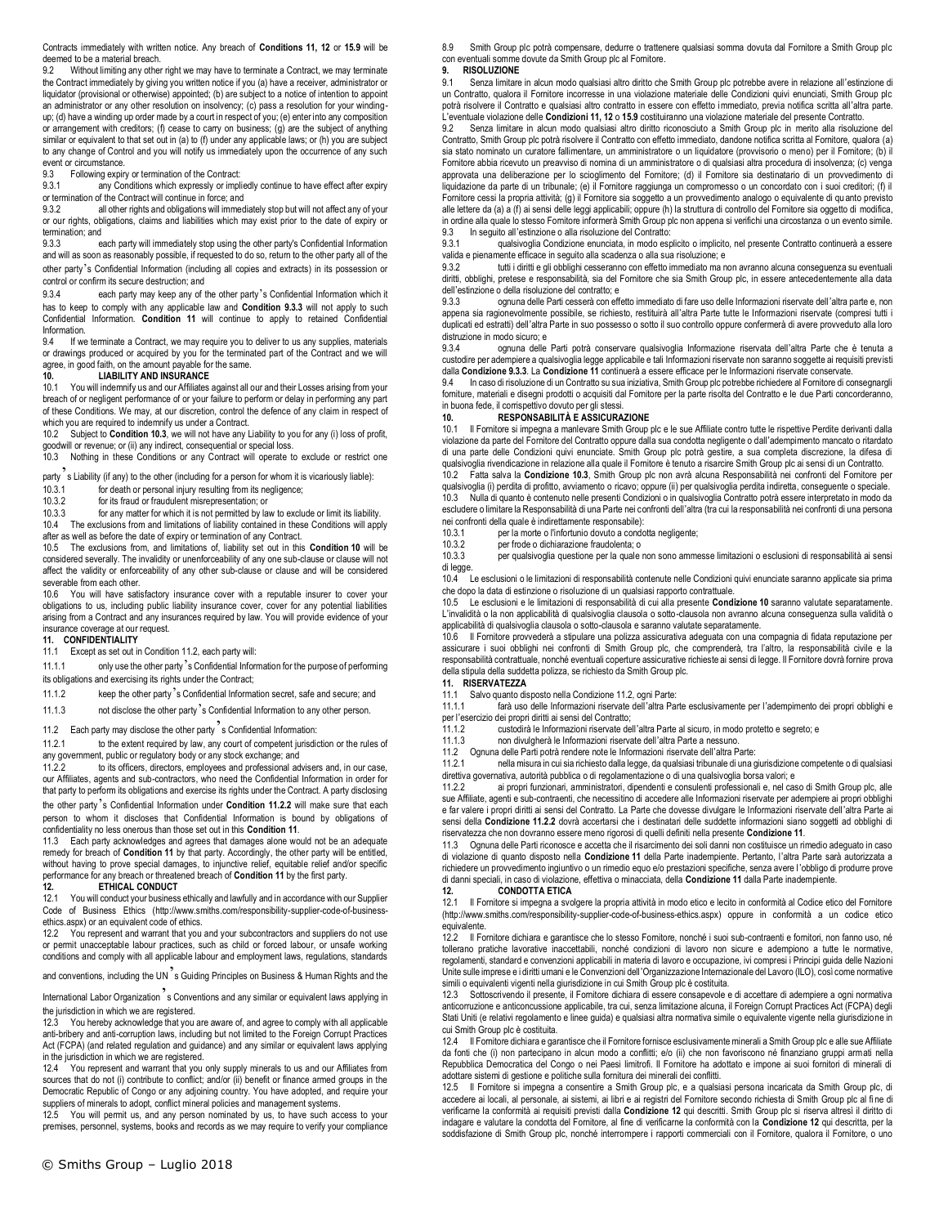Contracts immediately with written notice. Any breach of **Conditions 11, 12** or **15.9** will be deemed to be a material breach.

9.2 Without limiting any other right we may have to terminate a Contract, we may terminate the Contract immediately by giving you written notice if you (a) have a receiver, administrator or liquidator (provisional or otherwise) appointed; (b) are subject to a notice of intention to appoint an administrator or any other resolution on insolvency; (c) pass a resolution for your windingup; (d) have a winding up order made by a court in respect of you; (e) enter into any composition or arrangement with creditors; (f) cease to carry on business; (g) are the subject of anything similar or equivalent to that set out in (a) to (f) under any applicable laws; or (h) you are subject to any change of Control and you will notify us immediately upon the occurrence of any such event or circumstance.

9.3 Following expiry or termination of the Contract:

9.3.1 any Conditions which expressly or impliedly continue to have effect after expiry

or termination of the Contract will continue in force; and<br>9.3.2 all other rights and obligations will immed 9.3.2 all other rights and obligations will immediately stop but will not affect any of your or our rights, obligations, claims and liabilities which may exist prior to the date of expiry or termination; and<br>9.3.3

each party will immediately stop using the other party's Confidential Information and will as soon as reasonably possible, if requested to do so, return to the other party all of the other party's Confidential Information (including all copies and extracts) in its possession or control or confirm its secure destruction; and

9.3.4 each party may keep any of the other party's Confidential Information which it has to keep to comply with any applicable law and **Condition 9.3.3** will not apply to such Confidential Information. **Condition 11** will continue to apply to retained Confidential Information.<br>9.4 If we

If we terminate a Contract, we may require you to deliver to us any supplies, materials or drawings produced or acquired by you for the terminated part of the Contract and we will agree, in good faith, on the amount payable for the same.<br>10. LIABILITY AND INSURANCE

#### **10. LIABILITY AND INSURANCE**

10.1 You will indemnify us and our Affiliates against all our and their Losses arising from your breach of or negligent performance of or your failure to perform or delay in performing any part of these Conditions. We may, at our discretion, control the defence of any claim in respect of which you are required to indemnify us under a Contract.<br>10.2 Subject to Condition 10.3 we will not have any l

Subject to **Condition 10.3**, we will not have any Liability to you for any (i) loss of profit, goodwill or revenue; or (ii) any indirect, consequential or special loss.

10.3 Nothing in these Conditions or any Contract will operate to exclude or restrict one

party  $\acute{}$  s Liability (if any) to the other (including for a person for whom it is vicariously liable):<br>10.3.1 for death or personal iniury resulting from its negligence:

- 10.3.1 for death or personal injury resulting from its negligence;<br>10.3.2 for its fraud or fraudulent misrepresentation: or
- for its fraud or fraudulent misrepresentation; or

10.3.3 for any matter for which it is not permitted by law to exclude or limit its liability. 10.4 The exclusions from and limitations of liability contained in these Conditions will apply after as well as before the date of expiry or termination of any Contract.

10.5 The exclusions from, and limitations of, liability set out in this **Condition 10** will be considered severally. The invalidity or unenforceability of any one sub-clause or clause will not affect the validity or enforceability of any other sub-clause or clause and will be considered severable from each other.

10.6 You will have satisfactory insurance cover with a reputable insurer to cover your obligations to us, including public liability insurance cover, cover for any potential liabilities arising from a Contract and any insurances required by law. You will provide evidence of your insurance coverage at our request.

# **11. CONFIDENTIALITY**

Except as set out in Condition 11.2, each party will:

11.1.1 only use the other party's Confidential Information for the purpose of performing

its obligations and exercising its rights under the Contract;

11.1.2 keep the other party's Confidential Information secret, safe and secure; and

11.1.3 not disclose the other party's Confidential Information to any other person.

11.2 Each party may disclose the other party  $\frac{1}{2}$  s Confidential Information:<br>11.2.1 to the extent required by law, any court of competent iurisdic

to the extent required by law, any court of competent jurisdiction or the rules of any government, public or regulatory body or any stock exchange; and

11.2.2 to its officers, directors, employees and professional advisers and, in our case, our Affiliates, agents and sub-contractors, who need the Confidential Information in order for that party to perform its obligations and exercise its rights under the Contract. A party disclosing the other party's Confidential Information under **Condition 11.2.2** will make sure that each person to whom it discloses that Confidential Information is bound by obligations of

confidentiality no less onerous than those set out in this **Condition 11**. 11.3 Each party acknowledges and agrees that damages alone would not be an adequate remedy for breach of **Condition 11** by that party. Accordingly, the other party will be entitled, without having to prove special damages, to injunctive relief, equitable relief and/or specific performance for any breach or threatened breach of **Condition 11** by the first party.

#### **12. ETHICAL CONDUCT**

12.1 You will conduct your business ethically and lawfully and in accordance with our Supplier Code of Business Ethics (http://www.smiths.com/responsibility-supplier-code-of-businessethics.aspx) or an equivalent code of ethics.

12.2 You represent and warrant that you and your subcontractors and suppliers do not use or permit unacceptable labour practices, such as child or forced labour, or unsafe working conditions and comply with all applicable labour and employment laws, regulations, standards

and conventions, including the UN s Guiding Principles on Business & Human Rights and the

International Labor Organization s Conventions and any similar or equivalent laws applying in the jurisdiction in which we are registered.<br>12.3 You hereby acknowledge that you

12.3 You hereby acknowledge that you are aware of, and agree to comply with all applicable anti-bribery and anti-corruption laws, including but not limited to the Foreign Corrupt Practices Act (FCPA) (and related regulation and guidance) and any similar or equivalent laws applying in the jurisdiction in which we are registered.

12.4 You represent and warrant that you only supply minerals to us and our Affiliates from sources that do not (i) contribute to conflict; and/or (ii) benefit or finance armed groups in the Democratic Republic of Congo or any adjoining country. You have adopted, and require your suppliers of minerals to adopt, conflict mineral policies and management systems.

12.5 You will permit us, and any person nominated by us, to have such access to your premises, personnel, systems, books and records as we may require to verify your compliance 8.9 Smith Group plc potrà compensare, dedurre o trattenere qualsiasi somma dovuta dal Fornitore a Smith Group plc con eventuali somme dovute da Smith Group plc al Fornitore.

### **9. RISOLUZIONE**

9.1 Senza limitare in alcun modo qualsiasi altro diritto che Smith Group plc potrebbe avere in relazione all'estinzione di un Contratto, qualora il Fornitore incorresse in una violazione materiale delle Condizioni quivi enunciati, Smith Group plc potrà risolvere il Contratto e qualsiasi altro contratto in essere con effetto immediato, previa notifica scritta all'altra parte. L'eventuale violazione delle **Condizioni 11, 12** o **15.9** costituiranno una violazione materiale del presente Contratto.

9.2 Senza limitare in alcun modo qualsiasi altro diritto riconosciuto a Smith Group plc in merito alla risoluzione del Contratto, Smith Group plc potrà risolvere il Contratto con effetto immediato, dandone notifica scritta al Fornitore, qualora (a) sia stato nominato un curatore fallimentare, un amministratore o un liquidatore (provvisorio o meno) per il Fornitore; (b) il Fornitore abbia ricevuto un preavviso di nomina di un amministratore o di qualsiasi altra procedura di insolvenza; (c) venga approvata una deliberazione per lo scioglimento del Fornitore; (d) il Fornitore sia destinatario di un provvedimento di liquidazione da parte di un tribunale; (e) il Fornitore raggiunga un compromesso o un concordato con i suoi creditori; (f) il Fornitore cessi la propria attività; (g) il Fornitore sia soggetto a un provvedimento analogo o equivalente di quanto previsto<br>alle lettere da (a) a (f) ai sensi delle leggi applicabili; oppure (h) la struttura di controll in ordine alla quale lo stesso Fornitore informerà Smith Group plc non appena si verifichi una circostanza o un evento simile. 9.3 In seguito all'estinzione o alla risoluzione del Contratto:

qualsivoglia Condizione enunciata, in modo esplicito o implicito, nel presente Contratto continuerà a essere valida e pienamente efficace in seguito alla scadenza o alla sua risoluzione; e

9.3.2 tutti i diritti e gli obblighi cesseranno con effetto immediato ma non avranno alcuna conseguenza su eventuali diritti, obblighi, pretese e responsabilità, sia del Fornitore che sia Smith Group plc, in essere antecedentemente alla data dell'estinzione o della risoluzione del contratto; e

9.3.3 ognuna delle Parti cesserà con effetto immediato di fare uso delle Informazioni riservate dell'altra parte e, non appena sia ragionevolmente possibile, se richiesto, restituirà all'altra Parte tutte le Informazioni riservate (compresi tutti i duplicati ed estratti) dell'altra Parte in suo possesso o sotto il suo controllo oppure confermerà di avere provveduto alla loro distruzione in modo sicuro; e

9.3.4 ognuna delle Parti potrà conservare qualsivoglia Informazione riservata dell'altra Parte che è tenuta a custodire per adempiere a qualsivoglia legge applicabile e tali Informazioni riservate non saranno soggette ai requisiti previsti dalla **Condizione 9.3.3**. La **Condizione 11** continuerà a essere efficace per le Informazioni riservate conservate.

9.4 In caso di risoluzione di un Contratto su sua iniziativa, Smith Group plc potrebbe richiedere al Fomitore di consegnargli<br>forniture, materiali e disegni prodotti o acquisiti dal Fomitore per la parte risolta del Contra in buona fede, il corrispettivo dovuto per gli stessi.

#### **10. RESPONSABILITÀ E ASSICURAZIONE**

10.1 Il Fornitore si impegna a manlevare Smith Group plc e le sue Affiliate contro tutte le rispettive Perdite derivanti dalla violazione da parte del Fornitore del Contratto oppure dalla sua condotta negligente o dall'adempimento mancato o ritardato di una parte delle Condizioni quivi enunciate. Smith Group plc potrà gestire, a sua completa discrezione, la difesa di qualsivoglia rivendicazione in relazione alla quale il Fornitore è tenuto a risarcire Smith Group plc ai sensi di un Contratto.

10.2 Fatta salva la **Condizione 10.3**, Smith Group plc non avrà alcuna Responsabilità nei confronti del Fornitore per qualsivoglia (i) perdita di profitto, avviamento o ricavo; oppure (ii) per qualsivoglia perdita indiretta, conseguente o speciale. 10.3 Nulla di quanto è contenuto nelle presenti Condizioni o in qualsivoglia Contratto potrà essere interpretato in modo da escludere o limitare la Responsabilità di una Parte nei confronti dell'altra (tra cui la responsabilità nei confronti di una persona nei confronti della quale è indirettamente responsabile):

- 
- 10.3.1 per la morte o l'infortunio dovuto a condotta negligente;<br>10.3.2 per frode o dichiarazione fraudolenta: o

10.3.2 per frode o dichiarazione fraudolenta; o 10.3.3 per qualsivo dia questione per la quale per qualsivoglia questione per la quale non sono ammesse limitazioni o esclusioni di responsabilità ai sensi di legge.

10.4 Le esclusioni o le limitazioni di responsabilità contenute nelle Condizioni quivi enunciate saranno applicate sia prima che dopo la data di estinzione o risoluzione di un qualsiasi rapporto contrattuale.

10.5 Le esclusioni e le limitazioni di responsabilità di cui alla presente **Condizione 10** saranno valutate separatamente. L'invalidità o la non applicabilità di qualsivoglia clausola o sotto-clausola non avranno alcuna conseguenza sulla validità o applicabilità di qualsivoglia clausola o sotto-clausola e saranno valutate separatamente.

10.6 Il Fornitore provvederà a stipulare una polizza assicurativa adeguata con una compagnia di fidata reputazione per assicurare i suoi obblighi nei confronti di Smith Group plc, che comprenderà, tra l'altro, la responsabilità civile e la responsabilità contrattuale, nonché eventuali coperture assicurative richieste ai sensi di legge. Il Fornitore dovrà fornire prova della stipula della suddetta polizza, se richiesto da Smith Group plc.

### **11. RISERVATEZZA**

11.1 Salvo quanto disposto nella Condizione 11.2, ogni Parte:

tarà uso delle Informazioni riservate dell'altra Parte esclusivamente per l'adempimento dei propri obblighi e per l'esercizio dei propri diritti ai sensi del Contratto;

11.1.2 custodirà le Informazioni riservate dell'altra Parte al sicuro, in modo protetto e segreto; e<br>11.1.3 compre in divulgherà le Informazioni riservate dell'altra Parte a nessuno.

11.1.3 non divulgherà le Informazioni riservate dell'altra Parte a nessuno.

11.2 Ognuna delle Parti potrà rendere note le Informazioni riservate dell'altra Parte:

nella misura in cui sia richiesto dalla legge, da qualsiasi tribunale di una giurisdizione competente o di qualsiasi direttiva governativa, autorità pubblica o di regolamentazione o di una qualsivoglia borsa valori; e

11.2.2 ai propri funzionari, amministratori, dipendenti e consulenti professionali e, nel caso di Smith Group plc, alle sue Affiliate, agenti e sub-contraenti, che necessitino di accedere alle Informazioni riservate per adempiere ai propri obblighi e far valere i propri diritti ai sensi del Contratto. La Parte che dovesse divulgare le Informazioni riservate dell'altra Parte ai sensi della **Condizione 11.2.2** dovrà accertarsi che i destinatari delle suddette informazioni siano soggetti ad obblighi di riservatezza che non dovranno essere meno rigorosi di quelli definiti nella presente **Condizione 11**.

11.3 Ognuna delle Parti riconosce e accetta che il risarcimento dei soli danni non costituisce un rimedio adeguato in caso di violazione di quanto disposto nella **Condizione 11** della Parte inadempiente. Pertanto, l'altra Parte sarà autorizzata a richiedere un provvedimento ingiuntivo o un rimedio equo e/o prestazioni specifiche, senza avere l'obbligo di produrre prove di danni speciali, in caso di violazione, effettiva o minacciata, della **Condizione 11** dalla Parte inadempiente. **12. CONDOTTA ETICA**

### 12.1 Il Fornitore si impegna a svolgere la propria attività in modo etico e lecito in conformità al Codice etico del Fornitore (http://www.smiths.com/responsibility-supplier-code-of-business-ethics.aspx) oppure in conformità a un codice etico

equivalente.<br>12.2 Il Fornitore dichiara e garantisce che lo stesso Fornitore, nonché i suoi sub-contraenti e fornitori, non fanno uso, né tollerano pratiche lavorative inaccettabili, nonché condizioni di lavoro non sicure e adempiono a tutte le normative, regolamenti, standard e convenzioni applicabili in materia di lavoro e occupazione, ivi compresi i Principi guida delle Nazioni Unite sulle imprese e i diritti umani e le Convenzioni dell'Organizzazione Internazionale del Lavoro (ILO), così come normative simili o equivalenti vigenti nella giurisdizione in cui Smith Group plc è costituita.

12.3 Sottoscrivendo il presente, il Fornitore dichiara di essere consapevole e di accettare di adempiere a ogni normativa anticorruzione e anticoncussione applicabile, tra cui, senza limitazione alcuna, il Foreign Corrupt Practices Act (FCPA) degli Stati Uniti (e relativi regolamento e linee guida) e qualsiasi altra normativa simile o equivalente vigente nella giurisdizione in cui Smith Group plc è costituita.

12.4 Il Fornitore dichiara e garantisce che il Fornitore fornisce esclusivamente minerali a Smith Group plc e alle sue Affiliate da fonti che (i) non partecipano in alcun modo a conflitti; e/o (ii) che non favoriscono né finanziano gruppi armati nella Repubblica Democratica del Congo o nei Paesi limitrofi. Il Fornitore ha adottato e impone ai suoi fornitori di minerali di adottare sistemi di gestione e politiche sulla fornitura dei minerali dei conflitti.

12.5 Il Fornitore si impegna a consentire a Smith Group plc, e a qualsiasi persona incaricata da Smith Group plc, di accedere ai locali, al personale, ai sistemi, ai libri e ai registri del Fornitore secondo richiesta di Smith Group plc al fi ne di verificarne la conformità ai requisiti previsti dalla **Condizione 12** qui descritti. Smith Group plc si riserva altresì il diritto di indagare e valutare la condotta del Fornitore, al fine di verificarne la conformità con la **Condizione 12** qui descritta, per la soddisfazione di Smith Group plc, nonché interrompere i rapporti commerciali con il Fornitore, qualora il Fornitore, o uno